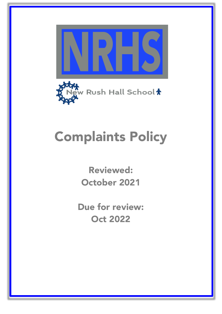



# Complaints Policy

Reviewed: October 2021

Due for review: Oct 2022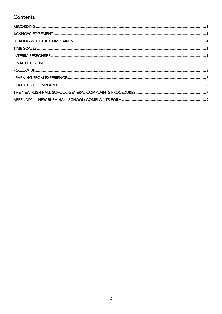# Contents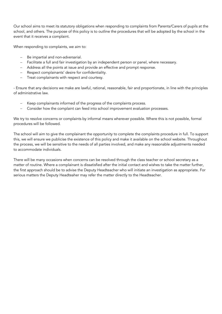Our school aims to meet its statutory obligations when responding to complaints from Parents/Carers of pupils at the school, and others. The purpose of this policy is to outline the procedures that will be adopted by the school in the event that it receives a complaint.

When responding to complaints, we aim to:

- Be impartial and non-adversarial.
- Facilitate a full and fair investigation by an independent person or panel, where necessary.
- Address all the points at issue and provide an effective and prompt response.
- Respect complainants' desire for confidentiality.
- Treat complainants with respect and courtesy.

- Ensure that any decisions we make are lawful, rational, reasonable, fair and proportionate, in line with the principles of administrative law.

- Keep complainants informed of the progress of the complaints process.
- Consider how the complaint can feed into school improvement evaluation processes.

We try to resolve concerns or complaints by informal means wherever possible. Where this is not possible, formal procedures will be followed.

The school will aim to give the complainant the opportunity to complete the complaints procedure in full. To support this, we will ensure we publicise the existence of this policy and make it available on the school website. Throughout the process, we will be sensitive to the needs of all parties involved, and make any reasonable adjustments needed to accommodate individuals.

There will be many occasions when concerns can be resolved through the class teacher or school secretary as a matter of routine. Where a complainant is dissatisfied after the initial contact and wishes to take the matter further, the first approach should be to advise the Deputy Headteacher who will initiate an investigation as appropriate. For serious matters the Deputy Headteaher may refer the matter directly to the Headteacher.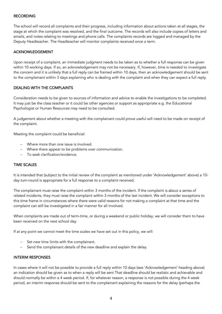# RECORDING

The school will record all complaints and their progress, including information about actions taken at all stages, the stage at which the complaint was resolved, and the final outcome. The records will also include copies of letters and emails, and notes relating to meetings and phone calls. The complaints records are logged and managed by the Deputy Headteacher. The Headteacher will monitor complaints received once a term.

# ACKNOWLEDGEMENT

Upon receipt of a complaint, an immediate judgment needs to be taken as to whether a full response can be given within 10 working days. If so, an acknowledgement may not be necessary. If, however, time is needed to investigate the concern and it is unlikely that a full reply can be framed within 10 days, then an acknowledgement should be sent to the complainant within 3 days explaining who is dealing with the complaint and when they can expect a full reply.

# DEALING WITH THE COMPLAINTS

Consideration needs to be given to sources of information and advice to enable the investigations to be completed. It may just be the class teacher or it could be other agencies or support as appropriate e.g. the Educational Psychologist or Human Resources may need to be consulted.

A judgement about whether a meeting with the complainant could prove useful will need to be made on receipt of the complaint.

Meeting the complaint could be beneficial:

- Where more than one issue is involved.
- Where there appear to be problems over communication.
- To seek clarification/evidence.

#### TIME SCALES

It is intended that (subject to the initial review of the complaint as mentioned under 'Acknowledgement' above) a 10 day turn-round is appropriate for a full response to a complaint received.

The complainant must raise the complaint within 3 months of the incident. If the complaint is about a series of related incidents, they must raise the complaint within 3 months of the last incident. We will consider exceptions to this time frame in circumstances where there were valid reasons for not making a complaint at that time and the complaint can still be investigated in a fair manner for all involved.

When complaints are made out of term-time, or during a weekend or public holiday, we will consider them to have been received on the next school day.

If at any point we cannot meet the time scales we have set out in this policy, we will:

- Set new time limits with the complainant.
- Send the complainant details of the new deadline and explain the delay.

#### INTERIM RESPONSES

In cases where it will not be possible to provide a full reply within 10 days (see 'Acknowledgement' heading above) an indication should be given as to when a reply will be sent That deadline should be realistic and achievable and should normally be within a 4 week period. If, for whatever reason, a response is not possible during the 4 week period, an interim response should be sent to the complainant explaining the reasons for the delay (perhaps the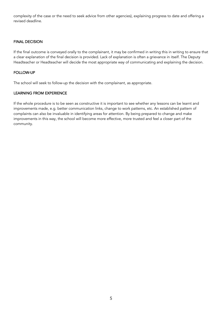complexity of the case or the need to seek advice from other agencies), explaining progress to date and offering a revised deadline.

# FINAL DECISION

If the final outcome is conveyed orally to the complainant, it may be confirmed in writing this in writing to ensure that a clear explanation of the final decision is provided. Lack of explanation is often a grievance in itself. The Deputy Headteacher or Headteacher will decide the most appropriate way of communicating and explaining the decision.

# FOLLOW-UP

The school will seek to follow-up the decision with the complainant, as appropriate.

#### LEARNING FROM EXPERIENCE

If the whole procedure is to be seen as constructive it is important to see whether any lessons can be learnt and improvements made, e.g. better communication links, change to work patterns, etc. An established pattern of complaints can also be invaluable in identifying areas for attention. By being prepared to change and make improvements in this way, the school will become more effective, more trusted and feel a closer part of the community.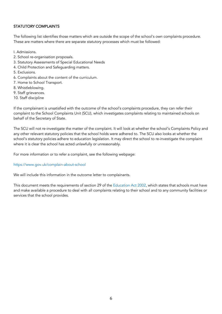# STATUTORY COMPLAINTS

The following list identifies those matters which are outside the scope of the school's own complaints procedure. These are matters where there are separate statutory processes which must be followed:

- I. Admissions.
- 2. School re-organisation proposals.
- 3. Statutory Assessments of Special Educational Needs
- 4. Child Protection and Safeguarding matters.
- 5. Exclusions.
- 6. Complaints about the content of the curriculum.
- 7. Home to School Transport.
- 8. Whistleblowing.
- 9. Staff grievances.
- 10. Staff discipline

If the complainant is unsatisfied with the outcome of the school's complaints procedure, they can refer their complaint to the School Complaints Unit (SCU), which investigates complaints relating to maintained schools on behalf of the Secretary of State.

The SCU will not re-investigate the matter of the complaint. It will look at whether the school's Complaints Policy and any other relevant statutory policies that the school holds were adhered to. The SCU also looks at whether the school's statutory policies adhere to education legislation. It may direct the school to re-investigate the complaint where it is clear the school has acted unlawfully or unreasonably.

For more information or to refer a complaint, see the following webpage:

#### https://www.gov.uk/complain-about-school

We will include this information in the outcome letter to complainants.

This document meets the requirements of section 29 of the Education Act 2002, which states that schools must have and make available a procedure to deal with all complaints relating to their school and to any community facilities or services that the school provides.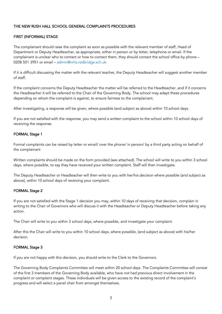# THE NEW RUSH HALL SCHOOL GENERAL COMPLAINTS PROCEDURES

# FIRST (INFORMAL) STAGE

The complainant should raise the complaint as soon as possible with the relevant member of staff, Head of Department or Deputy Headteacher, as appropriate, either in person or by letter, telephone or email. If the complainant is unclear who to contact or how to contact them, they should contact the school office by phone – 0208 501 3951 or email – admin@nrhs.redbridge.sch.uk

If it is difficult discussing the matter with the relevant teacher, the Deputy Headteacher will suggest another member of staff.

If the complaint concerns the Deputy Headteacher the matter will be referred to the Headteacher, and if it concerns the Headteacher it will be referred to the Chair of the Governing Body. The school may adapt these procedures depending on whom the complaint is against, to ensure fairness to the complainant.

After investigating, a response will be given, where possible (and subject as above) within 10 school days.

If you are not satisfied with the response, you may send a written complaint to the school within 10 school days of receiving the response.

#### FORMAL Stage 1

Formal complaints can be raised by letter or email/ over the phone/ in person/ by a third party acting on behalf of the complainant

Written complaints should be made on the form provided (see attached). The school will write to you within 3 school days, where possible, to say they have received your written complaint. Staff will then investigate.

The Deputy Headteacher or Headteacher will then write to you with her/his decision where possible (and subject as above), within 10 school days of receiving your complaint.

#### FORMAL Stage 2

If you are not satisfied with the Stage 1 decision you may, within 10 days of receiving that decision, complain in writing to the Chair of Governors who will discuss it with the Headteacher or Deputy Headteacher before taking any action.

The Chair will write to you within 3 school days, where possible, and investigate your complaint.

After this the Chair will write to you within 10 school days, where possible, (and subject as above) with his/her decision.

#### FORMAL Stage 3

If you are not happy with this decision, you should write to the Clerk to the Governors.

The Governing Body Complaints Committee will meet within 20 school days. The Complaints Committee will consist of the first 3 members of the Governing Body available, who have not had previous direct involvement in the complaint or complaint stages. These individuals will be given access to the existing record of the complaint's progress and will select a panel chair from amongst themselves.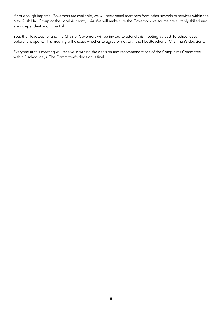If not enough impartial Governors are available, we will seek panel members from other schools or services within the New Rush Hall Group or the Local Authority (LA). We will make sure the Governors we source are suitably skilled and are independent and impartial.

You, the Headteacher and the Chair of Governors will be invited to attend this meeting at least 10 school days before it happens. This meeting will discuss whether to agree or not with the Headteacher or Chairman's decisions.

Everyone at this meeting will receive in writing the decision and recommendations of the Complaints Committee within 5 school days. The Committee's decision is final.